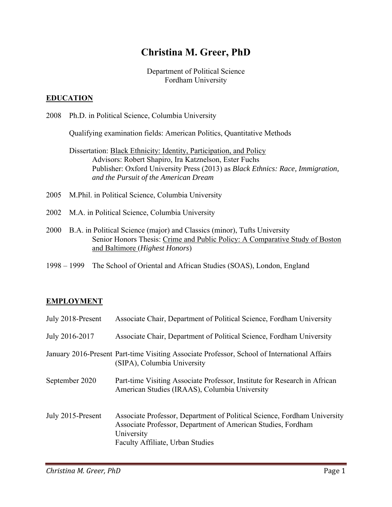# **Christina M. Greer, PhD**

Department of Political Science Fordham University

## **EDUCATION**

2008 Ph.D. in Political Science, Columbia University

Qualifying examination fields: American Politics, Quantitative Methods

Dissertation: **Black Ethnicity: Identity, Participation, and Policy**  Advisors: Robert Shapiro, Ira Katznelson, Ester Fuchs Publisher: Oxford University Press (2013) as *Black Ethnics: Race, Immigration, and the Pursuit of the American Dream* 

- 2005 M.Phil. in Political Science, Columbia University
- 2002 M.A. in Political Science, Columbia University
- 2000 B.A. in Political Science (major) and Classics (minor), Tufts University Senior Honors Thesis: Crime and Public Policy: A Comparative Study of Boston and Baltimore (*Highest Honors*)
- 1998 1999 The School of Oriental and African Studies (SOAS), London, England

#### **EMPLOYMENT**

| July 2018-Present | Associate Chair, Department of Political Science, Fordham University                                                                                                                       |
|-------------------|--------------------------------------------------------------------------------------------------------------------------------------------------------------------------------------------|
| July 2016-2017    | Associate Chair, Department of Political Science, Fordham University                                                                                                                       |
|                   | January 2016-Present Part-time Visiting Associate Professor, School of International Affairs<br>(SIPA), Columbia University                                                                |
| September 2020    | Part-time Visiting Associate Professor, Institute for Research in African<br>American Studies (IRAAS), Columbia University                                                                 |
| July 2015-Present | Associate Professor, Department of Political Science, Fordham University<br>Associate Professor, Department of American Studies, Fordham<br>University<br>Faculty Affiliate, Urban Studies |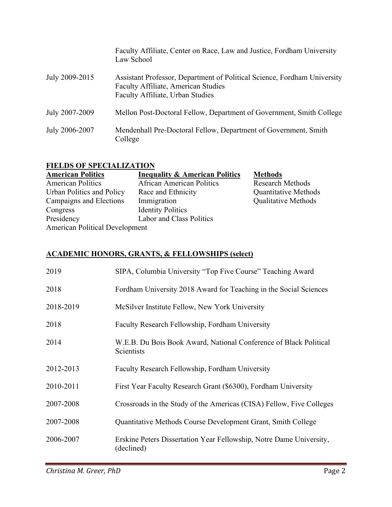|                | Faculty Affiliate, Center on Race, Law and Justice, Fordham University<br>Law School                                                                |
|----------------|-----------------------------------------------------------------------------------------------------------------------------------------------------|
| July 2009-2015 | Assistant Professor, Department of Political Science, Fordham University<br>Faculty Affiliate, American Studies<br>Faculty Affiliate, Urban Studies |
| July 2007-2009 | Mellon Post-Doctoral Fellow, Department of Government, Smith College                                                                                |
| July 2006-2007 | Mendenhall Pre-Doctoral Fellow, Department of Government, Smith<br>College                                                                          |

#### **FIELDS OF SPECIALIZATION**

| <b>American Politics</b>              | <b>Inequality &amp; American Politics</b> | <b>Methods</b>              |
|---------------------------------------|-------------------------------------------|-----------------------------|
| <b>American Politics</b>              | <b>African American Politics</b>          | <b>Research Methods</b>     |
| Urban Politics and Policy             | Race and Ethnicity                        | <b>Quantitative Methods</b> |
| Campaigns and Elections               | Immigration                               | <b>Qualitative Methods</b>  |
| Congress                              | <b>Identity Politics</b>                  |                             |
| Presidency                            | Labor and Class Politics                  |                             |
| <b>American Political Development</b> |                                           |                             |

#### **ACADEMIC HONORS, GRANTS, & FELLOWSHIPS (select)**

| 2019      | SIPA, Columbia University "Top Five Course" Teaching Award                        |
|-----------|-----------------------------------------------------------------------------------|
| 2018      | Fordham University 2018 Award for Teaching in the Social Sciences                 |
| 2018-2019 | McSilver Institute Fellow, New York University                                    |
| 2018      | Faculty Research Fellowship, Fordham University                                   |
| 2014      | W.E.B. Du Bois Book Award, National Conference of Black Political<br>Scientists   |
| 2012-2013 | Faculty Research Fellowship, Fordham University                                   |
| 2010-2011 | First Year Faculty Research Grant (\$6300), Fordham University                    |
| 2007-2008 | Crossroads in the Study of the Americas (CISA) Fellow, Five Colleges              |
| 2007-2008 | Quantitative Methods Course Development Grant, Smith College                      |
| 2006-2007 | Erskine Peters Dissertation Year Fellowship, Notre Dame University,<br>(declined) |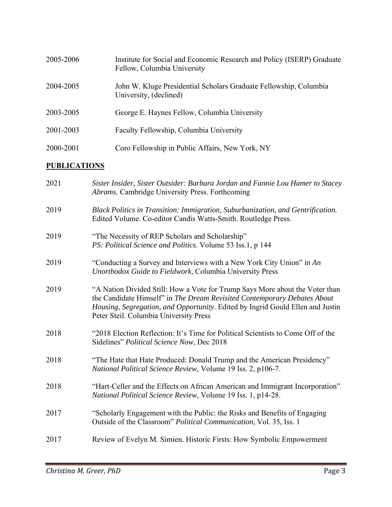| 2005-2006 | Institute for Social and Economic Research and Policy (ISERP) Graduate<br>Fellow, Columbia University |
|-----------|-------------------------------------------------------------------------------------------------------|
| 2004-2005 | John W. Kluge Presidential Scholars Graduate Fellowship, Columbia<br>University, (declined)           |
| 2003-2005 | George E. Haynes Fellow, Columbia University                                                          |
| 2001-2003 | Faculty Fellowship, Columbia University                                                               |
| 2000-2001 | Coro Fellowship in Public Affairs, New York, NY                                                       |

# **PUBLICATIONS**

| 2021 | Sister Insider, Sister Outsider: Barbara Jordan and Fannie Lou Hamer to Stacey<br>Abrams. Cambridge University Press. Forthcoming                                                                                                                                                    |
|------|--------------------------------------------------------------------------------------------------------------------------------------------------------------------------------------------------------------------------------------------------------------------------------------|
| 2019 | Black Politics in Transition: Immigration, Suburbanization, and Gentrification.<br>Edited Volume. Co-editor Candis Watts-Smith. Routledge Press.                                                                                                                                     |
| 2019 | "The Necessity of REP Scholars and Scholarship"<br>PS: Political Science and Politics. Volume 53 Iss.1, p 144                                                                                                                                                                        |
| 2019 | "Conducting a Survey and Interviews with a New York City Union" in An<br>Unorthodox Guide to Fieldwork, Columbia University Press                                                                                                                                                    |
| 2019 | "A Nation Divided Still: How a Vote for Trump Says More about the Voter than<br>the Candidate Himself" in The Dream Revisited Contemporary Debates About<br>Housing, Segregation, and Opportunity. Edited by Ingrid Gould Ellen and Justin<br>Peter Steil. Columbia University Press |
| 2018 | "2018 Election Reflection: It's Time for Political Scientists to Come Off of the<br>Sidelines" Political Science Now, Dec 2018                                                                                                                                                       |
| 2018 | "The Hate that Hate Produced: Donald Trump and the American Presidency"<br>National Political Science Review, Volume 19 Iss. 2, p106-7.                                                                                                                                              |
| 2018 | "Hart-Celler and the Effects on African American and Immigrant Incorporation"<br>National Political Science Review, Volume 19 Iss. 1, p14-28.                                                                                                                                        |
| 2017 | "Scholarly Engagement with the Public: the Risks and Benefits of Engaging<br>Outside of the Classroom" Political Communication, Vol. 35, Iss. 1                                                                                                                                      |
| 2017 | Review of Evelyn M. Simien. Historic Firsts: How Symbolic Empowerment                                                                                                                                                                                                                |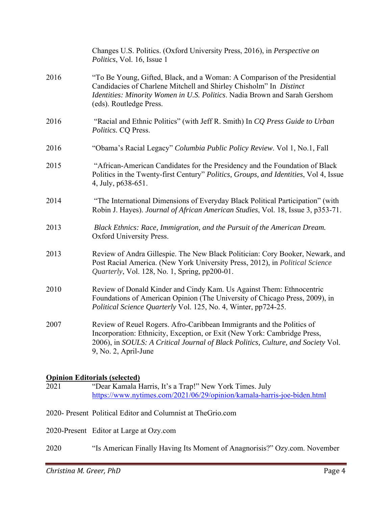|      | Changes U.S. Politics. (Oxford University Press, 2016), in Perspective on<br><i>Politics</i> , Vol. 16, Issue 1                                                                                                                                               |
|------|---------------------------------------------------------------------------------------------------------------------------------------------------------------------------------------------------------------------------------------------------------------|
| 2016 | "To Be Young, Gifted, Black, and a Woman: A Comparison of the Presidential<br>Candidacies of Charlene Mitchell and Shirley Chisholm" In Distinct<br>Identities: Minority Women in U.S. Politics. Nadia Brown and Sarah Gershom<br>(eds). Routledge Press.     |
| 2016 | "Racial and Ethnic Politics" (with Jeff R. Smith) In CQ Press Guide to Urban<br>Politics. CQ Press.                                                                                                                                                           |
| 2016 | "Obama's Racial Legacy" Columbia Public Policy Review. Vol 1, No.1, Fall                                                                                                                                                                                      |
| 2015 | "African-American Candidates for the Presidency and the Foundation of Black<br>Politics in the Twenty-first Century" Politics, Groups, and Identities, Vol 4, Issue<br>4, July, p638-651.                                                                     |
| 2014 | "The International Dimensions of Everyday Black Political Participation" (with<br>Robin J. Hayes). Journal of African American Studies, Vol. 18, Issue 3, p353-71.                                                                                            |
| 2013 | Black Ethnics: Race, Immigration, and the Pursuit of the American Dream.<br>Oxford University Press.                                                                                                                                                          |
| 2013 | Review of Andra Gillespie. The New Black Politician: Cory Booker, Newark, and<br>Post Racial America. (New York University Press, 2012), in Political Science<br><i>Quarterly</i> , Vol. 128, No. 1, Spring, pp200-01.                                        |
| 2010 | Review of Donald Kinder and Cindy Kam. Us Against Them: Ethnocentric<br>Foundations of American Opinion (The University of Chicago Press, 2009), in<br>Political Science Quarterly Vol. 125, No. 4, Winter, pp724-25.                                         |
| 2007 | Review of Reuel Rogers. Afro-Caribbean Immigrants and the Politics of<br>Incorporation: Ethnicity, Exception, or Exit (New York: Cambridge Press,<br>2006), in SOULS: A Critical Journal of Black Politics, Culture, and Society Vol.<br>9, No. 2, April-June |
|      | <b>Opinion Editorials (selected)</b>                                                                                                                                                                                                                          |

#### 2021 "Dear Kamala Harris, It's a Trap!" New York Times. July https://www.nytimes.com/2021/06/29/opinion/kamala-harris-joe-biden.html

2020- Present Political Editor and Columnist at TheGrio.com

2020-Present Editor at Large at Ozy.com

2020 "Is American Finally Having Its Moment of Anagnorisis?" Ozy.com. November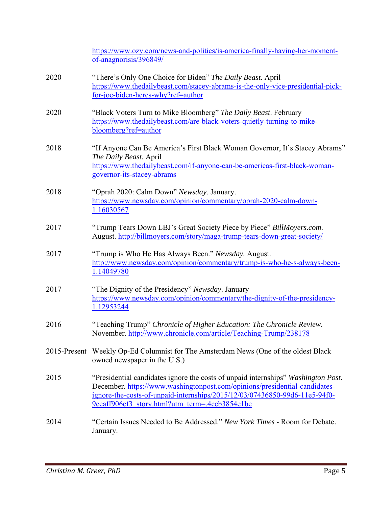|      | https://www.ozy.com/news-and-politics/is-america-finally-having-her-moment-<br>of-anagnorisis/396849/                                                                                                                                                                                           |
|------|-------------------------------------------------------------------------------------------------------------------------------------------------------------------------------------------------------------------------------------------------------------------------------------------------|
| 2020 | "There's Only One Choice for Biden" The Daily Beast. April<br>https://www.thedailybeast.com/stacey-abrams-is-the-only-vice-presidential-pick-<br>for-joe-biden-heres-why?ref=author                                                                                                             |
| 2020 | "Black Voters Turn to Mike Bloomberg" The Daily Beast. February<br>https://www.thedailybeast.com/are-black-voters-quietly-turning-to-mike-<br>bloomberg?ref=author                                                                                                                              |
| 2018 | "If Anyone Can Be America's First Black Woman Governor, It's Stacey Abrams"<br>The Daily Beast. April<br>https://www.thedailybeast.com/if-anyone-can-be-americas-first-black-woman-<br>governor-its-stacey-abrams                                                                               |
| 2018 | "Oprah 2020: Calm Down" Newsday. January.<br>https://www.newsday.com/opinion/commentary/oprah-2020-calm-down-<br>1.16030567                                                                                                                                                                     |
| 2017 | "Trump Tears Down LBJ's Great Society Piece by Piece" BillMoyers.com.<br>August. http://billmoyers.com/story/maga-trump-tears-down-great-society/                                                                                                                                               |
| 2017 | "Trump is Who He Has Always Been." Newsday. August.<br>http://www.newsday.com/opinion/commentary/trump-is-who-he-s-always-been-<br>1.14049780                                                                                                                                                   |
| 2017 | "The Dignity of the Presidency" Newsday. January<br>https://www.newsday.com/opinion/commentary/the-dignity-of-the-presidency-<br>1.12953244                                                                                                                                                     |
| 2016 | "Teaching Trump" Chronicle of Higher Education: The Chronicle Review.<br>November. http://www.chronicle.com/article/Teaching-Trump/238178                                                                                                                                                       |
|      | 2015-Present Weekly Op-Ed Columnist for The Amsterdam News (One of the oldest Black<br>owned newspaper in the U.S.)                                                                                                                                                                             |
| 2015 | "Presidential candidates ignore the costs of unpaid internships" Washington Post.<br>December. https://www.washingtonpost.com/opinions/presidential-candidates-<br>ignore-the-costs-of-unpaid-internships/2015/12/03/07436850-99d6-11e5-94f0-<br>9eeaff906ef3 story.html?utm term=.4ceb3854e1be |
| 2014 | "Certain Issues Needed to Be Addressed." New York Times - Room for Debate.<br>January.                                                                                                                                                                                                          |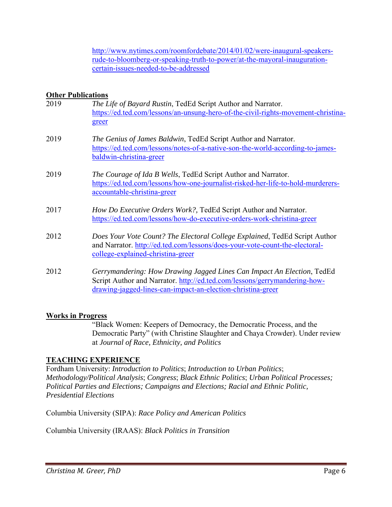http://www.nytimes.com/roomfordebate/2014/01/02/were-inaugural-speakersrude-to-bloomberg-or-speaking-truth-to-power/at-the-mayoral-inaugurationcertain-issues-needed-to-be-addressed

## **Other Publications**

| 2019 | The Life of Bayard Rustin, TedEd Script Author and Narrator.<br>https://ed.ted.com/lessons/an-unsung-hero-of-the-civil-rights-movement-christina-<br>greer                                                         |
|------|--------------------------------------------------------------------------------------------------------------------------------------------------------------------------------------------------------------------|
| 2019 | The Genius of James Baldwin, TedEd Script Author and Narrator.<br>https://ed.ted.com/lessons/notes-of-a-native-son-the-world-according-to-james-<br>baldwin-christina-greer                                        |
| 2019 | The Courage of Ida B Wells, TedEd Script Author and Narrator.<br>https://ed.ted.com/lessons/how-one-journalist-risked-her-life-to-hold-murderers-<br>accountable-christina-greer                                   |
| 2017 | How Do Executive Orders Work?, TedEd Script Author and Narrator.<br>https://ed.ted.com/lessons/how-do-executive-orders-work-christina-greer                                                                        |
| 2012 | Does Your Vote Count? The Electoral College Explained, TedEd Script Author<br>and Narrator. http://ed.ted.com/lessons/does-your-vote-count-the-electoral-<br>college-explained-christina-greer                     |
| 2012 | Gerrymandering: How Drawing Jagged Lines Can Impact An Election, TedEd<br>Script Author and Narrator. http://ed.ted.com/lessons/gerrymandering-how-<br>drawing-jagged-lines-can-impact-an-election-christina-greer |

#### **Works in Progress**

"Black Women: Keepers of Democracy, the Democratic Process, and the Democratic Party" (with Christine Slaughter and Chaya Crowder). Under review at *Journal of Race, Ethnicity, and Politics* 

#### **TEACHING EXPERIENCE**

Fordham University: *Introduction to Politics*; *Introduction to Urban Politics*; *Methodology/Political Analysis*; *Congress*; *Black Ethnic Politics*; *Urban Political Processes; Political Parties and Elections; Campaigns and Elections; Racial and Ethnic Politic, Presidential Elections*

Columbia University (SIPA): *Race Policy and American Politics* 

Columbia University (IRAAS): *Black Politics in Transition*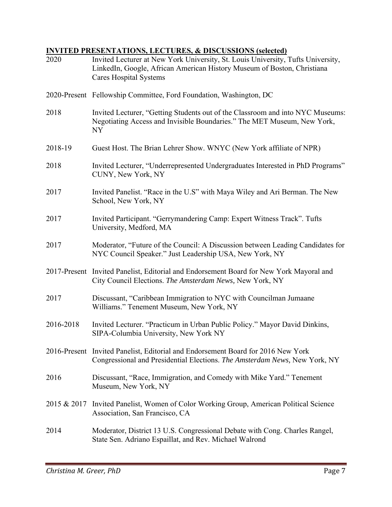# **INVITED PRESENTATIONS, LECTURES, & DISCUSSIONS (selected)**

| 2020        | Invited Lecturer at New York University, St. Louis University, Tufts University,<br>LinkedIn, Google, African American History Museum of Boston, Christiana<br><b>Cares Hospital Systems</b> |
|-------------|----------------------------------------------------------------------------------------------------------------------------------------------------------------------------------------------|
|             | 2020-Present Fellowship Committee, Ford Foundation, Washington, DC                                                                                                                           |
| 2018        | Invited Lecturer, "Getting Students out of the Classroom and into NYC Museums:<br>Negotiating Access and Invisible Boundaries." The MET Museum, New York,<br><b>NY</b>                       |
| 2018-19     | Guest Host. The Brian Lehrer Show. WNYC (New York affiliate of NPR)                                                                                                                          |
| 2018        | Invited Lecturer, "Underrepresented Undergraduates Interested in PhD Programs"<br>CUNY, New York, NY                                                                                         |
| 2017        | Invited Panelist. "Race in the U.S" with Maya Wiley and Ari Berman. The New<br>School, New York, NY                                                                                          |
| 2017        | Invited Participant. "Gerrymandering Camp: Expert Witness Track". Tufts<br>University, Medford, MA                                                                                           |
| 2017        | Moderator, "Future of the Council: A Discussion between Leading Candidates for<br>NYC Council Speaker." Just Leadership USA, New York, NY                                                    |
|             | 2017-Present Invited Panelist, Editorial and Endorsement Board for New York Mayoral and<br>City Council Elections. The Amsterdam News, New York, NY                                          |
| 2017        | Discussant, "Caribbean Immigration to NYC with Councilman Jumaane<br>Williams." Tenement Museum, New York, NY                                                                                |
| 2016-2018   | Invited Lecturer. "Practicum in Urban Public Policy." Mayor David Dinkins,<br>SIPA-Columbia University, New York NY                                                                          |
|             | 2016-Present Invited Panelist, Editorial and Endorsement Board for 2016 New York<br>Congressional and Presidential Elections. The Amsterdam News, New York, NY                               |
| 2016        | Discussant, "Race, Immigration, and Comedy with Mike Yard." Tenement<br>Museum, New York, NY                                                                                                 |
| 2015 & 2017 | Invited Panelist, Women of Color Working Group, American Political Science<br>Association, San Francisco, CA                                                                                 |
| 2014        | Moderator, District 13 U.S. Congressional Debate with Cong. Charles Rangel,<br>State Sen. Adriano Espaillat, and Rev. Michael Walrond                                                        |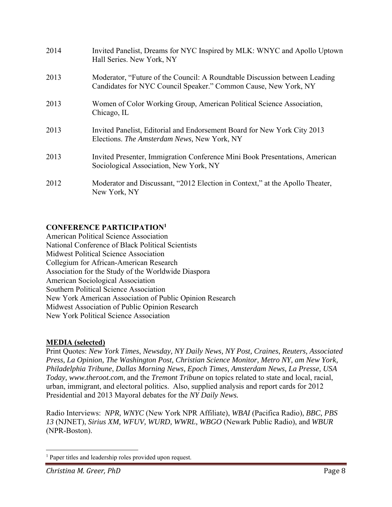| 2014 | Invited Panelist, Dreams for NYC Inspired by MLK: WNYC and Apollo Uptown<br>Hall Series. New York, NY                                         |
|------|-----------------------------------------------------------------------------------------------------------------------------------------------|
| 2013 | Moderator, "Future of the Council: A Roundtable Discussion between Leading<br>Candidates for NYC Council Speaker." Common Cause, New York, NY |
| 2013 | Women of Color Working Group, American Political Science Association,<br>Chicago, IL                                                          |
| 2013 | Invited Panelist, Editorial and Endorsement Board for New York City 2013<br>Elections. The Amsterdam News, New York, NY                       |
| 2013 | Invited Presenter, Immigration Conference Mini Book Presentations, American<br>Sociological Association, New York, NY                         |
| 2012 | Moderator and Discussant, "2012 Election in Context," at the Apollo Theater,<br>New York, NY                                                  |

# **CONFERENCE PARTICIPATION1**

American Political Science Association National Conference of Black Political Scientists Midwest Political Science Association Collegium for African-American Research Association for the Study of the Worldwide Diaspora American Sociological Association Southern Political Science Association New York American Association of Public Opinion Research Midwest Association of Public Opinion Research New York Political Science Association

#### **MEDIA (selected)**

Print Quotes: *New York Times*, *Newsday, NY Daily News, NY Post, Craines*, *Reuters, Associated Press, La Opinion, The Washington Post, Christian Science Monitor, Metro NY, am New York, Philadelphia Tribune*, *Dallas Morning News, Epoch Times, Amsterdam News, La Presse, USA Today, www.theroot.com*, and the *Tremont Tribune* on topics related to state and local, racial, urban, immigrant, and electoral politics. Also, supplied analysis and report cards for 2012 Presidential and 2013 Mayoral debates for the *NY Daily News.*

Radio Interviews: *NPR, WNYC* (New York NPR Affiliate), *WBAI* (Pacifica Radio), *BBC, PBS 13* (NJNET), *Sirius XM, WFUV, WURD, WWRL, WBGO* (Newark Public Radio), and *WBUR* (NPR-Boston).

<sup>&</sup>lt;sup>1</sup> Paper titles and leadership roles provided upon request.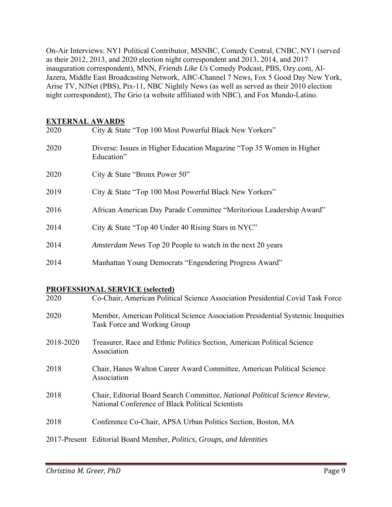On-Air Interviews: NY1 Political Contributor, MSNBC, Comedy Central, CNBC, NY1 (served as their 2012, 2013, and 2020 election night correspondent and 2013, 2014, and 2017 inauguration correspondent), MNN, *Friends Like Us* Comedy Podcast, PBS, Ozy.com, Al-Jazera, Middle East Broadcasting Network, ABC-Channel 7 News, Fox 5 Good Day New York, Arise TV, NJNet (PBS), Pix-11, NBC Nightly News (as well as served as their 2010 election night correspondent), The Grio (a website affiliated with NBC), and Fox Mundo-Latino.

#### **EXTERNAL AWARDS**

| 2020      | City & State "Top 100 Most Powerful Black New Yorkers"                                                                           |
|-----------|----------------------------------------------------------------------------------------------------------------------------------|
| 2020      | Diverse: Issues in Higher Education Magazine "Top 35 Women in Higher<br>Education"                                               |
| 2020      | City & State "Bronx Power 50"                                                                                                    |
| 2019      | City & State "Top 100 Most Powerful Black New Yorkers"                                                                           |
| 2016      | African American Day Parade Committee "Meritorious Leadership Award"                                                             |
| 2014      | City & State "Top 40 Under 40 Rising Stars in NYC"                                                                               |
| 2014      | Amsterdam News Top 20 People to watch in the next 20 years                                                                       |
| 2014      | Manhattan Young Democrats "Engendering Progress Award"                                                                           |
|           | <b>PROFESSIONAL SERVICE (selected)</b>                                                                                           |
| 2020      | Co-Chair, American Political Science Association Presidential Covid Task Force                                                   |
| 2020      | Member, American Political Science Association Presidential Systemic Inequities<br>Task Force and Working Group                  |
| 2018-2020 | Treasurer, Race and Ethnic Politics Section, American Political Science<br>Association                                           |
| 2018      | Chair, Hanes Walton Career Award Committee, American Political Science<br>Association                                            |
| 2018      | Chair, Editorial Board Search Committee, National Political Science Review,<br>National Conference of Black Political Scientists |
| 2018      | Conference Co-Chair, APSA Urban Politics Section, Boston, MA                                                                     |
|           | 2017-Present Editorial Board Member, Politics, Groups, and Identities                                                            |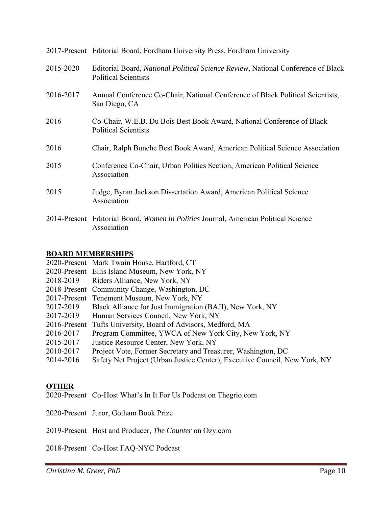|           | 2017-Present Editorial Board, Fordham University Press, Fordham University                                      |
|-----------|-----------------------------------------------------------------------------------------------------------------|
| 2015-2020 | Editorial Board, National Political Science Review, National Conference of Black<br><b>Political Scientists</b> |
| 2016-2017 | Annual Conference Co-Chair, National Conference of Black Political Scientists,<br>San Diego, CA                 |
| 2016      | Co-Chair, W.E.B. Du Bois Best Book Award, National Conference of Black<br><b>Political Scientists</b>           |
| 2016      | Chair, Ralph Bunche Best Book Award, American Political Science Association                                     |
| 2015      | Conference Co-Chair, Urban Politics Section, American Political Science<br>Association                          |
| 2015      | Judge, Byran Jackson Dissertation Award, American Political Science<br>Association                              |
|           | 2014-Present Editorial Board, Women in Politics Journal, American Political Science<br>Association              |

#### **BOARD MEMBERSHIPS**

|           | 2020-Present Mark Twain House, Hartford, CT                                |
|-----------|----------------------------------------------------------------------------|
|           | 2020-Present Ellis Island Museum, New York, NY                             |
|           | 2018-2019 Riders Alliance, New York, NY                                    |
|           | 2018-Present Community Change, Washington, DC                              |
|           | 2017-Present Tenement Museum, New York, NY                                 |
| 2017-2019 | Black Alliance for Just Immigration (BAJI), New York, NY                   |
| 2017-2019 | Human Services Council, New York, NY                                       |
|           | 2016-Present Tufts University, Board of Advisors, Medford, MA              |
| 2016-2017 | Program Committee, YWCA of New York City, New York, NY                     |
| 2015-2017 | Justice Resource Center, New York, NY                                      |
| 2010-2017 | Project Vote, Former Secretary and Treasurer, Washington, DC               |
| 2014-2016 | Safety Net Project (Urban Justice Center), Executive Council, New York, NY |
|           |                                                                            |

#### **OTHER**

2020-Present Co-Host What's In It For Us Podcast on Thegrio.com

2020-Present Juror, Gotham Book Prize

2019-Present Host and Producer, *The Counter* on Ozy.com

2018-Present Co-Host FAQ-NYC Podcast